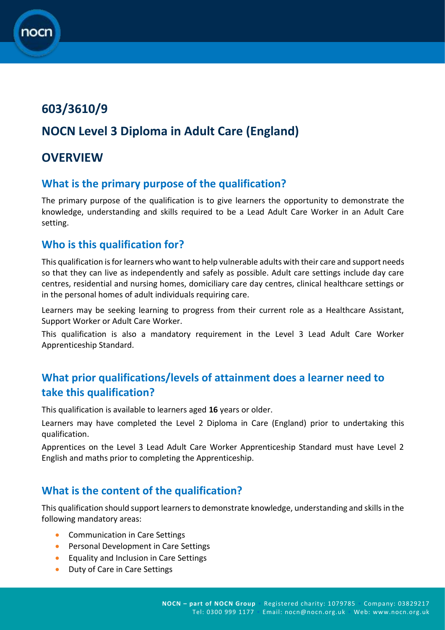# **603/3610/9**

## **NOCN Level 3 Diploma in Adult Care (England)**

### **OVERVIEW**

#### **What is the primary purpose of the qualification?**

The primary purpose of the qualification is to give learners the opportunity to demonstrate the knowledge, understanding and skills required to be a Lead Adult Care Worker in an Adult Care setting.

### **Who is this qualification for?**

This qualification is for learners who want to help vulnerable adults with their care and support needs so that they can live as independently and safely as possible. Adult care settings include day care centres, residential and nursing homes, domiciliary care day centres, clinical healthcare settings or in the personal homes of adult individuals requiring care.

Learners may be seeking learning to progress from their current role as a Healthcare Assistant, Support Worker or Adult Care Worker.

This qualification is also a mandatory requirement in the Level 3 Lead Adult Care Worker Apprenticeship Standard.

### **What prior qualifications/levels of attainment does a learner need to take this qualification?**

This qualification is available to learners aged **16** years or older.

Learners may have completed the Level 2 Diploma in Care (England) prior to undertaking this qualification.

Apprentices on the Level 3 Lead Adult Care Worker Apprenticeship Standard must have Level 2 English and maths prior to completing the Apprenticeship.

### **What is the content of the qualification?**

This qualification should support learners to demonstrate knowledge, understanding and skills in the following mandatory areas:

- Communication in Care Settings
- **•** Personal Development in Care Settings
- **•** Equality and Inclusion in Care Settings
- Duty of Care in Care Settings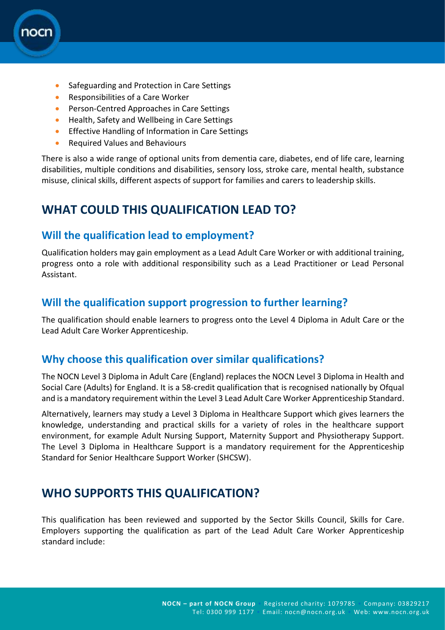

- Safeguarding and Protection in Care Settings
- Responsibilities of a Care Worker
- **•** Person-Centred Approaches in Care Settings
- **•** Health, Safety and Wellbeing in Care Settings
- **•** Effective Handling of Information in Care Settings
- **•** Required Values and Behaviours

There is also a wide range of optional units from dementia care, diabetes, end of life care, learning disabilities, multiple conditions and disabilities, sensory loss, stroke care, mental health, substance misuse, clinical skills, different aspects of support for families and carers to leadership skills.

### **WHAT COULD THIS QUALIFICATION LEAD TO?**

#### **Will the qualification lead to employment?**

Qualification holders may gain employment as a Lead Adult Care Worker or with additional training, progress onto a role with additional responsibility such as a Lead Practitioner or Lead Personal Assistant.

#### **Will the qualification support progression to further learning?**

The qualification should enable learners to progress onto the Level 4 Diploma in Adult Care or the Lead Adult Care Worker Apprenticeship.

#### **Why choose this qualification over similar qualifications?**

The NOCN Level 3 Diploma in Adult Care (England) replaces the NOCN Level 3 Diploma in Health and Social Care (Adults) for England. It is a 58-credit qualification that is recognised nationally by Ofqual and is a mandatory requirement within the Level 3 Lead Adult Care Worker Apprenticeship Standard.

Alternatively, learners may study a Level 3 Diploma in Healthcare Support which gives learners the knowledge, understanding and practical skills for a variety of roles in the healthcare support environment, for example Adult Nursing Support, Maternity Support and Physiotherapy Support. The Level 3 Diploma in Healthcare Support is a mandatory requirement for the Apprenticeship Standard for Senior Healthcare Support Worker (SHCSW).

### **WHO SUPPORTS THIS QUALIFICATION?**

This qualification has been reviewed and supported by the Sector Skills Council, Skills for Care. Employers supporting the qualification as part of the Lead Adult Care Worker Apprenticeship standard include: